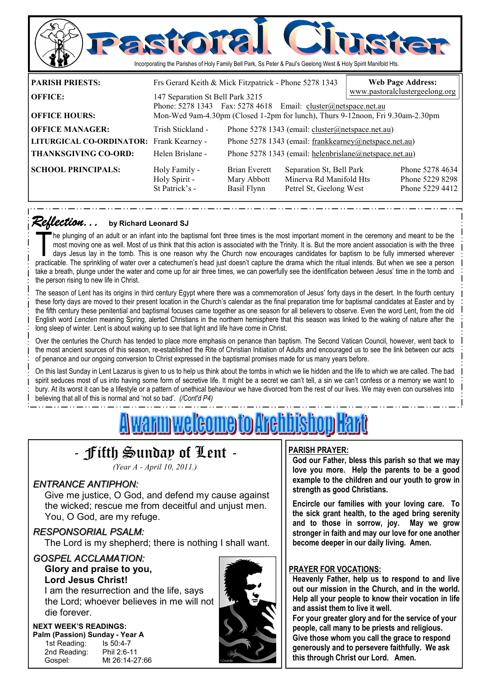

*Reflection... Reflection...* **by Richard Leonard SJ**

The plunging of an adult or an infant into the baptismal font three times is the most important moment in the ceremony and meant to be the most moving one as well. Most of us think that this action is associated with the T most moving one as well. Most of us think that this action is associated with the Trinity. It is. But the more ancient association is with the three practicable. The sprinkling of water over a catechumen's head just doesn't capture the drama which the ritual intends. But when we see a person take a breath, plunge under the water and come up for air three times, we can powerfully see the identification between Jesus' time in the tomb and the person rising to new life in Christ.

The season of Lent has its origins in third century Egypt where there was a commemoration of Jesus' forty days in the desert. In the fourth century these forty days are moved to their present location in the Church's calendar as the final preparation time for baptismal candidates at Easter and by the fifth century these penitential and baptismal focuses came together as one season for all believers to observe. Even the word Lent, from the old English word *Lencten* meaning Spring, alerted Christians in the northern hemisphere that this season was linked to the waking of nature after the long sleep of winter. Lent is about waking up to see that light and life have come in Christ.

Over the centuries the Church has tended to place more emphasis on penance than baptism. The Second Vatican Council, however, went back to the most ancient sources of this season, re-established the Rite of Christian Initiation of Adults and encouraged us to see the link between our acts of penance and our ongoing conversion to Christ expressed in the baptismal promises made for us many years before.

On this last Sunday in Lent Lazarus is given to us to help us think about the tombs in which we lie hidden and the life to which we are called. The bad spirit seduces most of us into having some form of secretive life. It might be a secret we can't tell, a sin we can't confess or a memory we want to bury. At its worst it can be a lifestyle or a pattern of unethical behaviour we have divorced from the rest of our lives. We may even con ourselves into believing that all of this is normal and 'not so bad'. *(/Cont'd P4)* 

# <u>A warm welcome to Archbishop Hart</u>



*(Year A - April 10, 2011.)* 

### *ENTRANCE ANTIPHON:*

 Give me justice, O God, and defend my cause against the wicked; rescue me from deceitful and unjust men. You, O God, are my refuge.

#### *RESPONSORIAL PSALM:*

The Lord is my shepherd; there is nothing I shall want.

### *GOSPEL ACCLAMATION:* **Glory and praise to you,**

 **Lord Jesus Christ!** 

I am the resurrection and the life, says the Lord; whoever believes in me will not die forever.

### **NEXT WEEK'S READINGS:**

**Palm (Passion) Sunday - Year A** 1st Reading: Is 50:4-7 1st Reading: 2nd Reading: Phil 2:6-11 Gospel: Mt 26:14-27:66



### **PARISH PRAYER:**

**God our Father, bless this parish so that we may love you more. Help the parents to be a good example to the children and our youth to grow in strength as good Christians.** 

**Encircle our families with your loving care. To the sick grant health, to the aged bring serenity and to those in sorrow, joy. May we grow stronger in faith and may our love for one another become deeper in our daily living. Amen.** 

#### **PRAYER FOR VOCATIONS:**

**Heavenly Father, help us to respond to and live out our mission in the Church, and in the world. Help all your people to know their vocation in life and assist them to live it well.** 

**For your greater glory and for the service of your people, call many to be priests and religious. Give those whom you call the grace to respond generously and to persevere faithfully. We ask this through Christ our Lord. Amen.**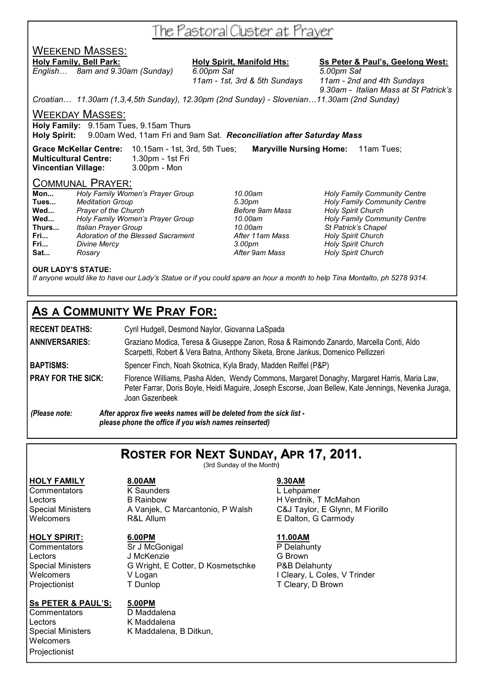## The Pastoral Cluster at Prayer

### WEEKEND MASSES:

*English… 8am and 9.30am (Sunday) 6.00pm Sat 5.00pm Sat 11am - 1st, 3rd & 5th Sundays 11am - 2nd and 4th Sundays* 

## **Holy Family, Bell Park: Holy Spirit, Manifold Hts: Ss Peter & Paul's, Geelong West:**

 *9.30am - Italian Mass at St Patrick's* 

*Croatian… 11.30am (1,3,4,5th Sunday), 12.30pm (2nd Sunday) - Slovenian…11.30am (2nd Sunday)* 

#### WEEKDAY MASSES:

**Holy Family:** 9.15am Tues, 9.15am Thurs

**Holy Spirit:** 9.00am Wed, 11am Fri and 9am Sat. *Reconciliation after Saturday Mass* 

**Grace McKellar Centre:** 10.15am - 1st, 3rd, 5th Tues; **Maryville Nursing Home:** 11am Tues; **Multicultural Centre:** 1.30pm - 1st Fri **Vincentian Village:** 3.00pm - Mon

### COMMUNAL PRAYER:

| Mon   | Holy Family Women's Prayer Group   | 10.00am         | <b>Holy Family Community Centre</b> |
|-------|------------------------------------|-----------------|-------------------------------------|
| Tues  | <b>Meditation Group</b>            | 5.30pm          | <b>Holy Family Community Centre</b> |
| Wed   | Prayer of the Church               | Before 9am Mass | <b>Holy Spirit Church</b>           |
| Wed   | Holy Family Women's Prayer Group   | 10.00am         | <b>Holy Family Community Centre</b> |
| Thurs | Italian Prayer Group               | 10.00am         | St Patrick's Chapel                 |
| Fri   | Adoration of the Blessed Sacrament | After 11am Mass | <b>Holy Spirit Church</b>           |
| Fri   | Divine Mercy                       | 3.00pm          | <b>Holy Spirit Church</b>           |
| Sat   | Rosarv                             | After 9am Mass  | <b>Holy Spirit Church</b>           |

#### **OUR LADY'S STATUE:**

*If anyone would like to have our Lady's Statue or if you could spare an hour a month to help Tina Montalto, ph 5278 9314.* 

## **AS A COMMUNITY WE PRAY FOR:**

**RECENT DEATHS:** Cyril Hudgell, Desmond Naylor, Giovanna LaSpada **ANNIVERSARIES:** Graziano Modica, Teresa & Giuseppe Zanon, Rosa & Raimondo Zanardo, Marcella Conti, Aldo Scarpetti, Robert & Vera Batna, Anthony Siketa, Brone Jankus, Domenico Pellizzeri **BAPTISMS:** Spencer Finch, Noah Skotnica, Kyla Brady, Madden Reiffel (P&P) **PRAY FOR THE SICK:** Florence Williams, Pasha Alden, Wendy Commons, Margaret Donaghy, Margaret Harris, Maria Law, Peter Farrar, Doris Boyle, Heidi Maguire, Joseph Escorse, Joan Bellew, Kate Jennings, Nevenka Juraga, Joan Gazenbeek *(Please note: After approx five weeks names will be deleted from the sick list -* 

 *please phone the office if you wish names reinserted)* 

## **ROSTER FOR NEXT SUNDAY, APR 17, 2011.**

(3rd Sunday of the Month**)** 

#### **HOLY SPIRIT: 6.00PM 11.00AM**

#### **Ss PETER & PAUL'S: 5.00PM**

Commentators D Maddalena Lectors K Maddalena **Welcomers** Projectionist

**HOLY FAMILY 8.00AM 9.30AM** Commentators K Saunders L Lehpamer Lectors **B Rainbow B H Verdnik, T McMahon** Special Ministers A Vanjek, C Marcantonio, P Walsh C&J Taylor, E Glynn, M Fiorillo Welcomers **R&L Allum** R&L ALLUM **E Dalton, G Carmody** 

Commentators Sr J McGonigal P Delahunty Lectors **J** McKenzie **G** Brown Special Ministers G Wright, E Cotter, D Kosmetschke P&B Delahunty<br>V Logan V Logan I Cleary, L Cole Welcomers V Logan V Logan V Logan I Cleary, L Coles, V Trinder Projectionist T Dunlop T Cleary, D Brown

Special Ministers K Maddalena, B Ditkun,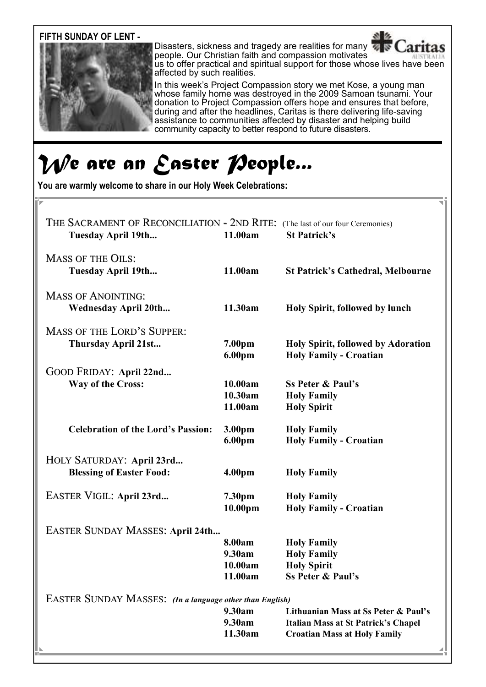**FIFTH SUNDAY OF LENT -** 



Disasters, sickness and tragedy are realities for many **Caritas** people. Our Christian faith and compassion motivates us to offer practical and spiritual support for those whose lives have been affected by such realities.

In this week's Project Compassion story we met Kose, a young man whose family home was destroyed in the 2009 Samoan tsunami. Your donation to Project Compassion offers hope and ensures that before, during and after the headlines, Caritas is there delivering life-saving assistance to communities affected by disaster and helping build community capacity to better respond to future disasters.

# *We are an Easter People...*

**You are warmly welcome to share in our Holy Week Celebrations:** 

| THE SACRAMENT OF RECONCILIATION - 2ND RITE: (The last of our four Ceremonies)<br>Tuesday April 19th | 11.00am                                | <b>St Patrick's</b>                                                                                                       |  |  |
|-----------------------------------------------------------------------------------------------------|----------------------------------------|---------------------------------------------------------------------------------------------------------------------------|--|--|
| <b>MASS OF THE OILS:</b><br><b>Tuesday April 19th</b>                                               | 11.00am                                | <b>St Patrick's Cathedral, Melbourne</b>                                                                                  |  |  |
| <b>MASS OF ANOINTING:</b><br><b>Wednesday April 20th</b>                                            | 11.30am                                | Holy Spirit, followed by lunch                                                                                            |  |  |
| <b>MASS OF THE LORD'S SUPPER:</b><br>Thursday April 21st                                            | 7.00pm<br>6.00pm                       | <b>Holy Spirit, followed by Adoration</b><br><b>Holy Family - Croatian</b>                                                |  |  |
| GOOD FRIDAY: April 22nd<br>Way of the Cross:                                                        | 10.00am<br>10.30am<br>11.00am          | <b>Ss Peter &amp; Paul's</b><br><b>Holy Family</b><br><b>Holy Spirit</b>                                                  |  |  |
| <b>Celebration of the Lord's Passion:</b>                                                           | 3.00pm<br>6.00pm                       | <b>Holy Family</b><br><b>Holy Family - Croatian</b>                                                                       |  |  |
| HOLY SATURDAY: April 23rd<br><b>Blessing of Easter Food:</b>                                        | 4.00 <sub>pm</sub>                     | <b>Holy Family</b>                                                                                                        |  |  |
| EASTER VIGIL: April 23rd                                                                            | 7.30pm<br>10.00 <sub>pm</sub>          | <b>Holy Family</b><br><b>Holy Family - Croatian</b>                                                                       |  |  |
| EASTER SUNDAY MASSES: April 24th                                                                    |                                        |                                                                                                                           |  |  |
|                                                                                                     | 8.00am<br>9.30am<br>10.00am<br>11.00am | <b>Holy Family</b><br><b>Holy Family</b><br><b>Holy Spirit</b><br><b>Ss Peter &amp; Paul's</b>                            |  |  |
| <b>EASTER SUNDAY MASSES:</b> (In a language other than English)                                     |                                        |                                                                                                                           |  |  |
|                                                                                                     | 9.30am<br>9.30am<br>11.30am            | Lithuanian Mass at Ss Peter & Paul's<br><b>Italian Mass at St Patrick's Chapel</b><br><b>Croatian Mass at Holy Family</b> |  |  |